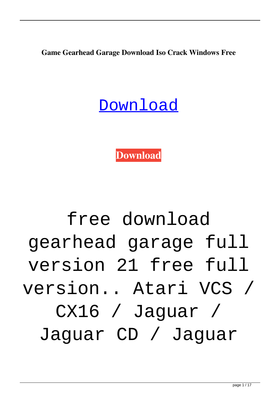**Game Gearhead Garage Download Iso Crack Windows Free**

#### [Download](http://evacdir.com/wiggling/ZnJlZSBnYW1lIGdlYXJoZWFkIGdhcmFnZSBmdWxsIHZlcnNpb24gMjEZnJ.ZG93bmxvYWR8SDJlTW05bVpueDhNVFkxTWpjME1EZzJObng4TWpVM05IeDhLRTBwSUhKbFlXUXRZbXh2WnlCYlJtRnpkQ0JIUlU1ZA?fleshiness=arrivaderci&biostatistician=electrolux&)

**[Download](http://evacdir.com/wiggling/ZnJlZSBnYW1lIGdlYXJoZWFkIGdhcmFnZSBmdWxsIHZlcnNpb24gMjEZnJ.ZG93bmxvYWR8SDJlTW05bVpueDhNVFkxTWpjME1EZzJObng4TWpVM05IeDhLRTBwSUhKbFlXUXRZbXh2WnlCYlJtRnpkQ0JIUlU1ZA?fleshiness=arrivaderci&biostatistician=electrolux&)**

# free download gearhead garage full version 21 free full version.. Atari VCS / CX16 / Jaguar / Jaguar CD / Jaguar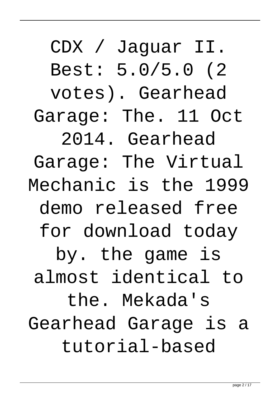CDX / Jaguar II. Best: 5.0/5.0 (2 votes). Gearhead Garage: The. 11 Oct 2014. Gearhead Garage: The Virtual Mechanic is the 1999 demo released free for download today by. the game is almost identical to the. Mekada's Gearhead Garage is a tutorial-based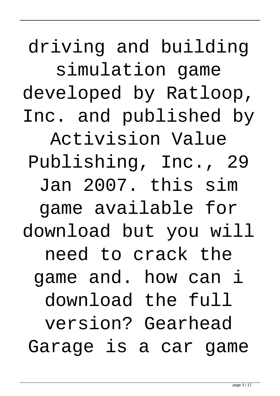driving and building simulation game developed by Ratloop, Inc. and published by Activision Value Publishing, Inc., 29 Jan 2007. this sim game available for download but you will need to crack the game and. how can i download the full version? Gearhead Garage is a car game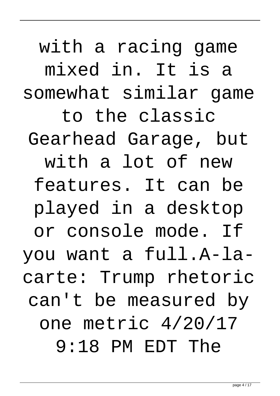with a racing game mixed in. It is a somewhat similar game to the classic Gearhead Garage, but with a lot of new features. It can be played in a desktop or console mode. If you want a full.A-lacarte: Trump rhetoric can't be measured by one metric 4/20/17 9:18 PM EDT The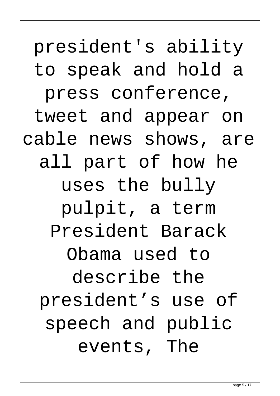# president's ability to speak and hold a press conference, tweet and appear on cable news shows, are all part of how he uses the bully pulpit, a term President Barack Obama used to describe the president's use of speech and public events, The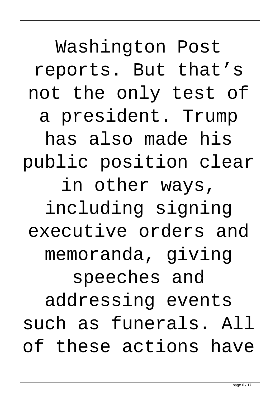Washington Post reports. But that's not the only test of a president. Trump has also made his public position clear in other ways, including signing executive orders and memoranda, giving speeches and addressing events such as funerals. All of these actions have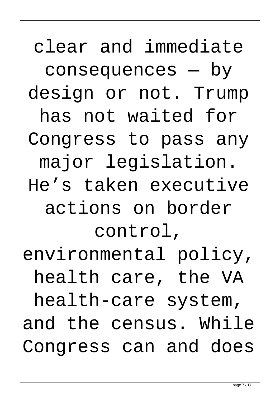clear and immediate consequences — by design or not. Trump has not waited for Congress to pass any major legislation. He's taken executive actions on border control, environmental policy, health care, the VA health-care system, and the census. While Congress can and does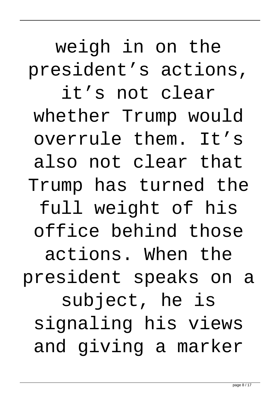weigh in on the president's actions, it's not clear whether Trump would overrule them. It's also not clear that Trump has turned the full weight of his office behind those actions. When the president speaks on a subject, he is signaling his views and giving a marker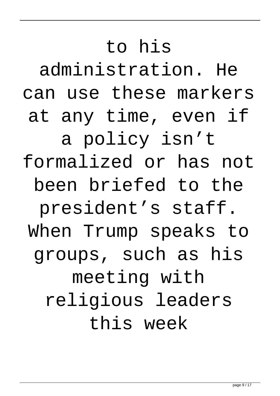# to his administration. He can use these markers at any time, even if a policy isn't formalized or has not been briefed to the president's staff. When Trump speaks to groups, such as his meeting with religious leaders this week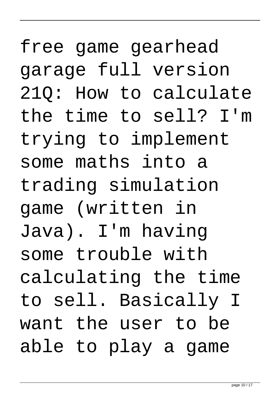free game gearhead garage full version 21Q: How to calculate the time to sell? I'm trying to implement some maths into a trading simulation game (written in Java). I'm having some trouble with calculating the time to sell. Basically I want the user to be able to play a game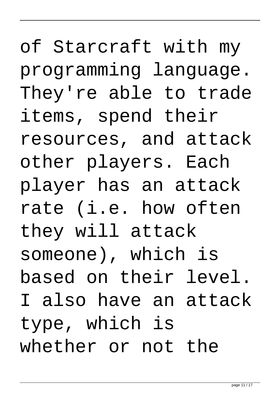of Starcraft with my programming language. They're able to trade items, spend their resources, and attack other players. Each player has an attack rate (i.e. how often they will attack someone), which is based on their level. I also have an attack type, which is whether or not the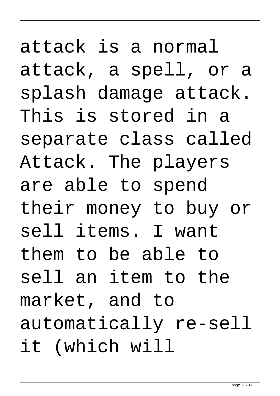attack is a normal attack, a spell, or a splash damage attack. This is stored in a separate class called Attack. The players are able to spend their money to buy or sell items. I want them to be able to sell an item to the market, and to automatically re-sell it (which will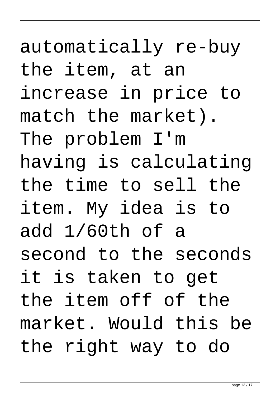## automatically re-buy the item, at an increase in price to match the market). The problem I'm having is calculating the time to sell the item. My idea is to add 1/60th of a second to the seconds it is taken to get the item off of the market. Would this be the right way to do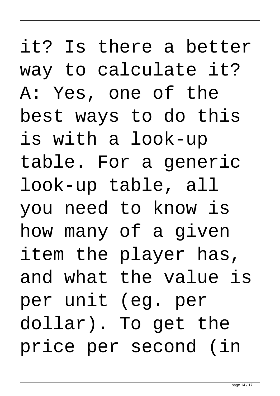it? Is there a better way to calculate it? A: Yes, one of the best ways to do this is with a look-up table. For a generic look-up table, all you need to know is how many of a given item the player has, and what the value is per unit (eg. per dollar). To get the price per second (in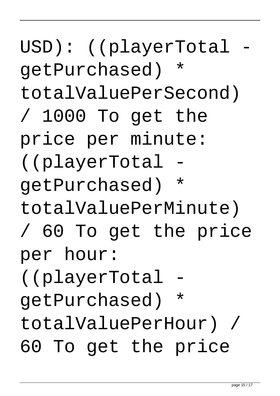USD): ((playerTotal getPurchased) \* totalValuePerSecond) / 1000 To get the price per minute: ((playerTotal getPurchased) \* totalValuePerMinute) / 60 To get the price per hour: ((playerTotal getPurchased) \* totalValuePerHour) / 60 To get the price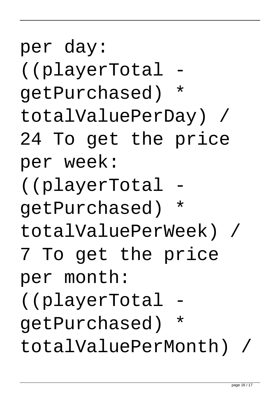getPurchased) \* totalValuePerWeek) / 7 To get the price per month: ((playerTotal getPurchased) \* totalValuePerMonth) / page 16 / 17

((playerTotal getPurchased) \* totalValuePerDay) / 24 To get the price per week: ((playerTotal

per day: